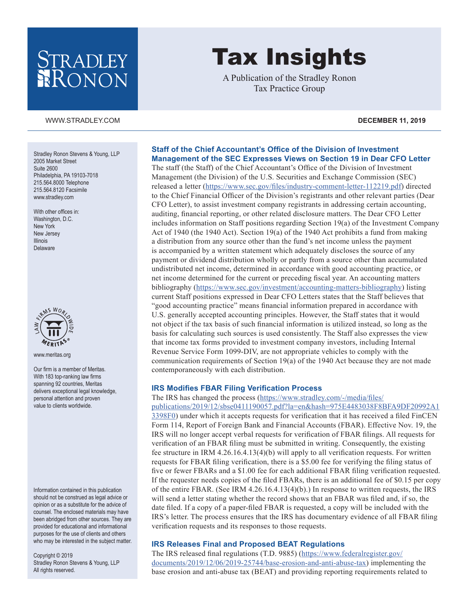# STRADLEY RONON

#### [WWW.STRADLEY.COM](www.stradley.com) **DECEMBER 11, 2019**

Stradley Ronon Stevens & Young, LLP 2005 Market Street Suite 2600 Philadelphia, PA 19103-7018 215.564.8000 Telephone 215.564.8120 Facsimile [www.stradley.com](http://www.stradley.com)

With other offices in: Washington, D.C. New York New Jersey Illinois Delaware



[www.meritas.org](http://www.meritas.org)

Our firm is a member of Meritas. With 183 top-ranking law firms spanning 92 countries, Meritas delivers exceptional legal knowledge, personal attention and proven value to clients worldwide.

Information contained in this publication should not be construed as legal advice or opinion or as a substitute for the advice of counsel. The enclosed materials may have been abridged from other sources. They are provided for educational and informational purposes for the use of clients and others who may be interested in the subject matter.

Copyright © 2019 Stradley Ronon Stevens & Young, LLP All rights reserved.

# Tax Insights

A Publication of the Stradley Ronon Tax Practice Group

# **Staff of the Chief Accountant's Office of the Division of Investment Management of the SEC Expresses Views on Section 19 in Dear CFO Letter**

The staff (the Staff) of the Chief Accountant's Office of the Division of Investment Management (the Division) of the U.S. Securities and Exchange Commission (SEC) released a letter [\(https://www.sec.gov/files/industry-comment-letter-112219.pdf\)](https://www.sec.gov/files/industry-comment-letter-112219.pdf) directed to the Chief Financial Officer of the Division's registrants and other relevant parties (Dear CFO Letter), to assist investment company registrants in addressing certain accounting, auditing, financial reporting, or other related disclosure matters. The Dear CFO Letter includes information on Staff positions regarding Section 19(a) of the Investment Company Act of 1940 (the 1940 Act). Section 19(a) of the 1940 Act prohibits a fund from making a distribution from any source other than the fund's net income unless the payment is accompanied by a written statement which adequately discloses the source of any payment or dividend distribution wholly or partly from a source other than accumulated undistributed net income, determined in accordance with good accounting practice, or net income determined for the current or preceding fiscal year. An accounting matters bibliography [\(https://www.sec.gov/investment/accounting-matters-bibliography\)](https://www.sec.gov/investment/accounting-matters-bibliography) listing current Staff positions expressed in Dear CFO Letters states that the Staff believes that "good accounting practice" means financial information prepared in accordance with U.S. generally accepted accounting principles. However, the Staff states that it would not object if the tax basis of such financial information is utilized instead, so long as the basis for calculating such sources is used consistently. The Staff also expresses the view that income tax forms provided to investment company investors, including Internal Revenue Service Form 1099-DIV, are not appropriate vehicles to comply with the communication requirements of Section 19(a) of the 1940 Act because they are not made contemporaneously with each distribution.

#### **IRS Modifies FBAR Filing Verification Process**

The IRS has changed the process ([https://www.stradley.com/-/media/files/](https://www.stradley.com/-/media/files/publications/2019/12/sbse0411190057.pdf?la=en&hash=975E4483038F8BFA9DF20992A13398F0) [publications/2019/12/sbse0411190057.pdf?la=en&hash=975E4483038F8BFA9DF20992A1](https://www.stradley.com/-/media/files/publications/2019/12/sbse0411190057.pdf?la=en&hash=975E4483038F8BFA9DF20992A13398F0) [3398F0](https://www.stradley.com/-/media/files/publications/2019/12/sbse0411190057.pdf?la=en&hash=975E4483038F8BFA9DF20992A13398F0)) under which it accepts requests for verification that it has received a filed FinCEN Form 114, Report of Foreign Bank and Financial Accounts (FBAR). Effective Nov. 19, the IRS will no longer accept verbal requests for verification of FBAR filings. All requests for verification of an FBAR filing must be submitted in writing. Consequently, the existing fee structure in IRM 4.26.16.4.13(4)(b) will apply to all verification requests. For written requests for FBAR filing verification, there is a \$5.00 fee for verifying the filing status of five or fewer FBARs and a \$1.00 fee for each additional FBAR filing verification requested. If the requester needs copies of the filed FBARs, there is an additional fee of \$0.15 per copy of the entire FBAR. (See IRM 4.26.16.4.13(4)(b).) In response to written requests, the IRS will send a letter stating whether the record shows that an FBAR was filed and, if so, the date filed. If a copy of a paper-filed FBAR is requested, a copy will be included with the IRS's letter. The process ensures that the IRS has documentary evidence of all FBAR filing verification requests and its responses to those requests.

## **IRS Releases Final and Proposed BEAT Regulations**

The IRS released final regulations (T.D. 9885) ([https://www.federalregister.gov/](https://www.federalregister.gov/documents/2019/12/06/2019-25744/base-erosion-and-anti-abuse-tax) [documents/2019/12/06/2019-25744/base-erosion-and-anti-abuse-tax](https://www.federalregister.gov/documents/2019/12/06/2019-25744/base-erosion-and-anti-abuse-tax)) implementing the base erosion and anti-abuse tax (BEAT) and providing reporting requirements related to